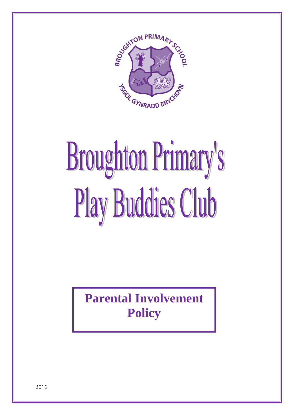

## **Broughton Primary's** Play Buddies Club

**Parental Involvement Policy**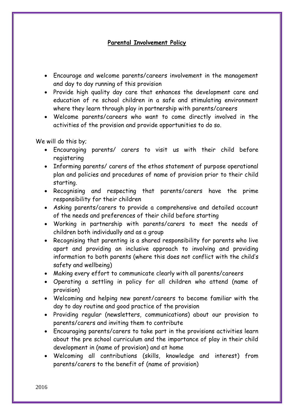## **Parental Involvement Policy**

- Encourage and welcome parents/careers involvement in the management and day to day running of this provision
- Provide high quality day care that enhances the development care and education of re school children in a safe and stimulating environment where they learn through play in partnership with parents/careers
- Welcome parents/careers who want to come directly involved in the activities of the provision and provide opportunities to do so.

We will do this by;

- Encouraging parents/ carers to visit us with their child before registering
- Informing parents/ carers of the ethos statement of purpose operational plan and policies and procedures of name of provision prior to their child starting.
- Recognising and respecting that parents/carers have the prime responsibility for their children
- Asking parents/carers to provide a comprehensive and detailed account of the needs and preferences of their child before starting
- Working in partnership with parents/carers to meet the needs of children both individually and as a group
- Recognising that parenting is a shared responsibility for parents who live apart and providing an inclusive approach to involving and providing information to both parents (where this does not conflict with the child's safety and wellbeing)
- Making every effort to communicate clearly with all parents/careers
- Operating a settling in policy for all children who attend (name of provision)
- Welcoming and helping new parent/careers to become familiar with the day to day routine and good practice of the provision
- Providing regular (newsletters, communications) about our provision to parents/carers and inviting them to contribute
- Encouraging parents/carers to take part in the provisions activities learn about the pre school curriculum and the importance of play in their child development in (name of provision) and at home
- Welcoming all contributions (skills, knowledge and interest) from parents/carers to the benefit of (name of provision)